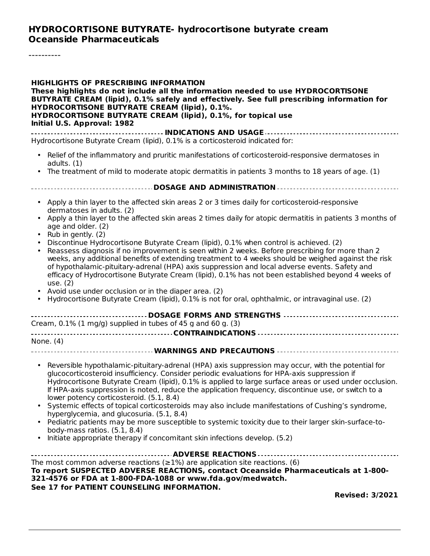#### **HYDROCORTISONE BUTYRATE- hydrocortisone butyrate cream Oceanside Pharmaceuticals**

----------

| <b>HIGHLIGHTS OF PRESCRIBING INFORMATION</b><br>These highlights do not include all the information needed to use HYDROCORTISONE<br>BUTYRATE CREAM (lipid), 0.1% safely and effectively. See full prescribing information for<br><b>HYDROCORTISONE BUTYRATE CREAM (lipid), 0.1%.</b><br>HYDROCORTISONE BUTYRATE CREAM (lipid), 0.1%, for topical use<br>Initial U.S. Approval: 1982                                                                                                                                                                                                                                                                                                                                                                                                                                                          |
|----------------------------------------------------------------------------------------------------------------------------------------------------------------------------------------------------------------------------------------------------------------------------------------------------------------------------------------------------------------------------------------------------------------------------------------------------------------------------------------------------------------------------------------------------------------------------------------------------------------------------------------------------------------------------------------------------------------------------------------------------------------------------------------------------------------------------------------------|
| Hydrocortisone Butyrate Cream (lipid), 0.1% is a corticosteroid indicated for:                                                                                                                                                                                                                                                                                                                                                                                                                                                                                                                                                                                                                                                                                                                                                               |
| • Relief of the inflammatory and pruritic manifestations of corticosteroid-responsive dermatoses in<br>adults. $(1)$                                                                                                                                                                                                                                                                                                                                                                                                                                                                                                                                                                                                                                                                                                                         |
| The treatment of mild to moderate atopic dermatitis in patients 3 months to 18 years of age. (1)<br>$\bullet$                                                                                                                                                                                                                                                                                                                                                                                                                                                                                                                                                                                                                                                                                                                                |
|                                                                                                                                                                                                                                                                                                                                                                                                                                                                                                                                                                                                                                                                                                                                                                                                                                              |
| • Apply a thin layer to the affected skin areas 2 or 3 times daily for corticosteroid-responsive<br>dermatoses in adults. (2)<br>Apply a thin layer to the affected skin areas 2 times daily for atopic dermatitis in patients 3 months of<br>age and older. (2)                                                                                                                                                                                                                                                                                                                                                                                                                                                                                                                                                                             |
| Rub in gently. (2)<br>Discontinue Hydrocortisone Butyrate Cream (lipid), 0.1% when control is achieved. (2)<br>Reassess diagnosis if no improvement is seen within 2 weeks. Before prescribing for more than 2<br>weeks, any additional benefits of extending treatment to 4 weeks should be weighed against the risk<br>of hypothalamic-pituitary-adrenal (HPA) axis suppression and local adverse events. Safety and<br>efficacy of Hydrocortisone Butyrate Cream (lipid), 0.1% has not been established beyond 4 weeks of<br>use. (2)<br>Avoid use under occlusion or in the diaper area. (2)<br>Hydrocortisone Butyrate Cream (lipid), 0.1% is not for oral, ophthalmic, or intravaginal use. (2)                                                                                                                                        |
| Cream, $0.1\%$ (1 mg/g) supplied in tubes of 45 g and 60 g. (3)                                                                                                                                                                                                                                                                                                                                                                                                                                                                                                                                                                                                                                                                                                                                                                              |
| None. (4)                                                                                                                                                                                                                                                                                                                                                                                                                                                                                                                                                                                                                                                                                                                                                                                                                                    |
|                                                                                                                                                                                                                                                                                                                                                                                                                                                                                                                                                                                                                                                                                                                                                                                                                                              |
| • Reversible hypothalamic-pituitary-adrenal (HPA) axis suppression may occur, with the potential for<br>glucocorticosteroid insufficiency. Consider periodic evaluations for HPA-axis suppression if<br>Hydrocortisone Butyrate Cream (lipid), 0.1% is applied to large surface areas or used under occlusion.<br>If HPA-axis suppression is noted, reduce the application frequency, discontinue use, or switch to a<br>lower potency corticosteroid. (5.1, 8.4)<br>Systemic effects of topical corticosteroids may also include manifestations of Cushing's syndrome,<br>hyperglycemia, and glucosuria. (5.1, 8.4)<br>Pediatric patients may be more susceptible to systemic toxicity due to their larger skin-surface-to-<br>body-mass ratios. $(5.1, 8.4)$<br>Initiate appropriate therapy if concomitant skin infections develop. (5.2) |
| The most common adverse reactions ( $\geq$ 1%) are application site reactions. (6)<br>To report SUSPECTED ADVERSE REACTIONS, contact Oceanside Pharmaceuticals at 1-800-<br>321-4576 or FDA at 1-800-FDA-1088 or www.fda.gov/medwatch.<br>See 17 for PATIENT COUNSELING INFORMATION.                                                                                                                                                                                                                                                                                                                                                                                                                                                                                                                                                         |
| <b>Revised: 3/2021</b>                                                                                                                                                                                                                                                                                                                                                                                                                                                                                                                                                                                                                                                                                                                                                                                                                       |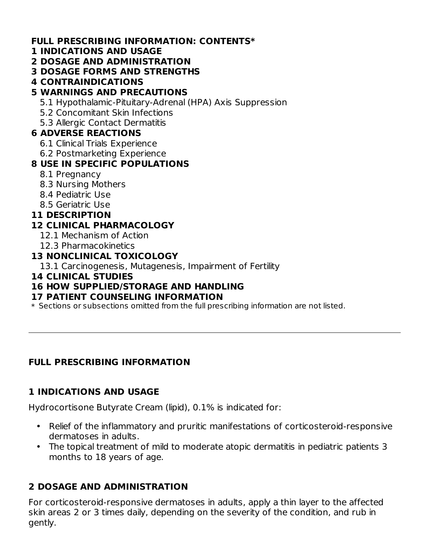#### **FULL PRESCRIBING INFORMATION: CONTENTS\***

#### **1 INDICATIONS AND USAGE**

**2 DOSAGE AND ADMINISTRATION**

#### **3 DOSAGE FORMS AND STRENGTHS**

**4 CONTRAINDICATIONS**

# **5 WARNINGS AND PRECAUTIONS**

- 5.1 Hypothalamic-Pituitary-Adrenal (HPA) Axis Suppression
- 5.2 Concomitant Skin Infections
- 5.3 Allergic Contact Dermatitis

### **6 ADVERSE REACTIONS**

- 6.1 Clinical Trials Experience
- 6.2 Postmarketing Experience

# **8 USE IN SPECIFIC POPULATIONS**

- 8.1 Pregnancy
- 8.3 Nursing Mothers
- 8.4 Pediatric Use
- 8.5 Geriatric Use

# **11 DESCRIPTION**

# **12 CLINICAL PHARMACOLOGY**

- 12.1 Mechanism of Action
- 12.3 Pharmacokinetics

# **13 NONCLINICAL TOXICOLOGY**

- 13.1 Carcinogenesis, Mutagenesis, Impairment of Fertility
- **14 CLINICAL STUDIES**

# **16 HOW SUPPLIED/STORAGE AND HANDLING**

#### **17 PATIENT COUNSELING INFORMATION**

 $\ast$  Sections or subsections omitted from the full prescribing information are not listed.

# **FULL PRESCRIBING INFORMATION**

# **1 INDICATIONS AND USAGE**

Hydrocortisone Butyrate Cream (lipid), 0.1% is indicated for:

- Relief of the inflammatory and pruritic manifestations of corticosteroid-responsive dermatoses in adults.
- The topical treatment of mild to moderate atopic dermatitis in pediatric patients 3 months to 18 years of age.

# **2 DOSAGE AND ADMINISTRATION**

For corticosteroid-responsive dermatoses in adults, apply a thin layer to the affected skin areas 2 or 3 times daily, depending on the severity of the condition, and rub in gently.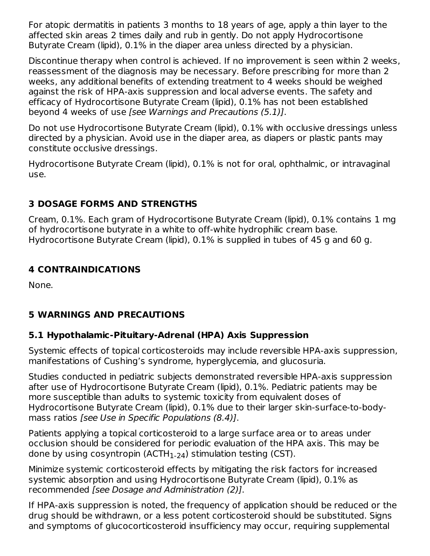For atopic dermatitis in patients 3 months to 18 years of age, apply a thin layer to the affected skin areas 2 times daily and rub in gently. Do not apply Hydrocortisone Butyrate Cream (lipid), 0.1% in the diaper area unless directed by a physician.

Discontinue therapy when control is achieved. If no improvement is seen within 2 weeks, reassessment of the diagnosis may be necessary. Before prescribing for more than 2 weeks, any additional benefits of extending treatment to 4 weeks should be weighed against the risk of HPA-axis suppression and local adverse events. The safety and efficacy of Hydrocortisone Butyrate Cream (lipid), 0.1% has not been established beyond 4 weeks of use [see Warnings and Precautions (5.1)].

Do not use Hydrocortisone Butyrate Cream (lipid), 0.1% with occlusive dressings unless directed by a physician. Avoid use in the diaper area, as diapers or plastic pants may constitute occlusive dressings.

Hydrocortisone Butyrate Cream (lipid), 0.1% is not for oral, ophthalmic, or intravaginal use.

# **3 DOSAGE FORMS AND STRENGTHS**

Cream, 0.1%. Each gram of Hydrocortisone Butyrate Cream (lipid), 0.1% contains 1 mg of hydrocortisone butyrate in a white to off-white hydrophilic cream base. Hydrocortisone Butyrate Cream (lipid), 0.1% is supplied in tubes of 45 g and 60 g.

# **4 CONTRAINDICATIONS**

None.

# **5 WARNINGS AND PRECAUTIONS**

# **5.1 Hypothalamic-Pituitary-Adrenal (HPA) Axis Suppression**

Systemic effects of topical corticosteroids may include reversible HPA-axis suppression, manifestations of Cushing's syndrome, hyperglycemia, and glucosuria.

Studies conducted in pediatric subjects demonstrated reversible HPA-axis suppression after use of Hydrocortisone Butyrate Cream (lipid), 0.1%. Pediatric patients may be more susceptible than adults to systemic toxicity from equivalent doses of Hydrocortisone Butyrate Cream (lipid), 0.1% due to their larger skin-surface-to-bodymass ratios [see Use in Specific Populations (8.4)].

Patients applying a topical corticosteroid to a large surface area or to areas under occlusion should be considered for periodic evaluation of the HPA axis. This may be done by using cosyntropin (ACTH $_{\rm 1\text{-}24}$ ) stimulation testing (CST).

Minimize systemic corticosteroid effects by mitigating the risk factors for increased systemic absorption and using Hydrocortisone Butyrate Cream (lipid), 0.1% as recommended [see Dosage and Administration (2)].

If HPA-axis suppression is noted, the frequency of application should be reduced or the drug should be withdrawn, or a less potent corticosteroid should be substituted. Signs and symptoms of glucocorticosteroid insufficiency may occur, requiring supplemental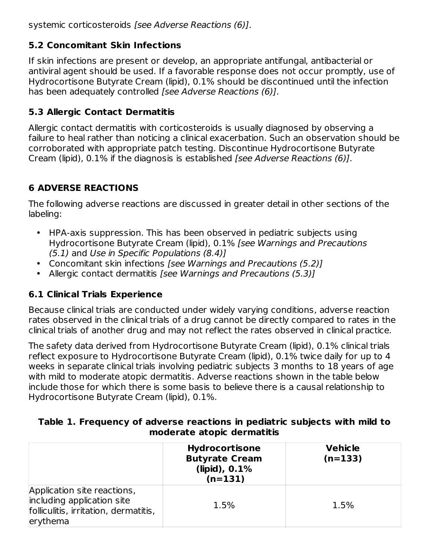systemic corticosteroids [see Adverse Reactions (6)].

# **5.2 Concomitant Skin Infections**

If skin infections are present or develop, an appropriate antifungal, antibacterial or antiviral agent should be used. If a favorable response does not occur promptly, use of Hydrocortisone Butyrate Cream (lipid), 0.1% should be discontinued until the infection has been adequately controlled *[see Adverse Reactions (6)]*.

# **5.3 Allergic Contact Dermatitis**

Allergic contact dermatitis with corticosteroids is usually diagnosed by observing a failure to heal rather than noticing a clinical exacerbation. Such an observation should be corroborated with appropriate patch testing. Discontinue Hydrocortisone Butyrate Cream (lipid), 0.1% if the diagnosis is established [see Adverse Reactions (6)].

# **6 ADVERSE REACTIONS**

The following adverse reactions are discussed in greater detail in other sections of the labeling:

- HPA-axis suppression. This has been observed in pediatric subjects using Hydrocortisone Butyrate Cream (lipid), 0.1% [see Warnings and Precautions (5.1) and Use in Specific Populations (8.4)]
- Concomitant skin infections [see Warnings and Precautions (5.2)]
- Allergic contact dermatitis [see Warnings and Precautions (5.3)]

# **6.1 Clinical Trials Experience**

Because clinical trials are conducted under widely varying conditions, adverse reaction rates observed in the clinical trials of a drug cannot be directly compared to rates in the clinical trials of another drug and may not reflect the rates observed in clinical practice.

The safety data derived from Hydrocortisone Butyrate Cream (lipid), 0.1% clinical trials reflect exposure to Hydrocortisone Butyrate Cream (lipid), 0.1% twice daily for up to 4 weeks in separate clinical trials involving pediatric subjects 3 months to 18 years of age with mild to moderate atopic dermatitis. Adverse reactions shown in the table below include those for which there is some basis to believe there is a causal relationship to Hydrocortisone Butyrate Cream (lipid), 0.1%.

| Table 1. Frequency of adverse reactions in pediatric subjects with mild to |  |  |  |  |  |
|----------------------------------------------------------------------------|--|--|--|--|--|
| moderate atopic dermatitis                                                 |  |  |  |  |  |

|                                                                                                                | <b>Hydrocortisone</b><br><b>Butyrate Cream</b><br>$(lipid)$ , 0.1%<br>$(n=131)$ | <b>Vehicle</b><br>$(n=133)$ |  |
|----------------------------------------------------------------------------------------------------------------|---------------------------------------------------------------------------------|-----------------------------|--|
| Application site reactions,<br>including application site<br>folliculitis, irritation, dermatitis,<br>erythema | 1.5%                                                                            | 1.5%                        |  |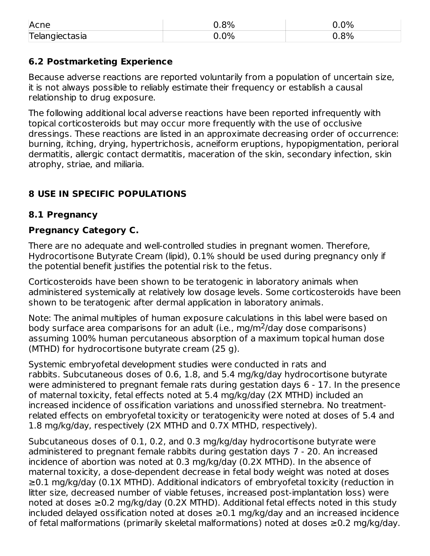| Acne           | $0.8\%$ | $0.0\%$ |
|----------------|---------|---------|
| Telangiectasia | ა.0%    | $0.8\%$ |

### **6.2 Postmarketing Experience**

Because adverse reactions are reported voluntarily from a population of uncertain size, it is not always possible to reliably estimate their frequency or establish a causal relationship to drug exposure.

The following additional local adverse reactions have been reported infrequently with topical corticosteroids but may occur more frequently with the use of occlusive dressings. These reactions are listed in an approximate decreasing order of occurrence: burning, itching, drying, hypertrichosis, acneiform eruptions, hypopigmentation, perioral dermatitis, allergic contact dermatitis, maceration of the skin, secondary infection, skin atrophy, striae, and miliaria.

# **8 USE IN SPECIFIC POPULATIONS**

### **8.1 Pregnancy**

### **Pregnancy Category C.**

There are no adequate and well-controlled studies in pregnant women. Therefore, Hydrocortisone Butyrate Cream (lipid), 0.1% should be used during pregnancy only if the potential benefit justifies the potential risk to the fetus.

Corticosteroids have been shown to be teratogenic in laboratory animals when administered systemically at relatively low dosage levels. Some corticosteroids have been shown to be teratogenic after dermal application in laboratory animals.

Note: The animal multiples of human exposure calculations in this label were based on body surface area comparisons for an adult (i.e., mg/m<sup>2</sup>/day dose comparisons) assuming 100% human percutaneous absorption of a maximum topical human dose (MTHD) for hydrocortisone butyrate cream (25 g).

Systemic embryofetal development studies were conducted in rats and rabbits. Subcutaneous doses of 0.6, 1.8, and 5.4 mg/kg/day hydrocortisone butyrate were administered to pregnant female rats during gestation days 6 - 17. In the presence of maternal toxicity, fetal effects noted at 5.4 mg/kg/day (2X MTHD) included an increased incidence of ossification variations and unossified sternebra. No treatmentrelated effects on embryofetal toxicity or teratogenicity were noted at doses of 5.4 and 1.8 mg/kg/day, respectively (2X MTHD and 0.7X MTHD, respectively).

Subcutaneous doses of 0.1, 0.2, and 0.3 mg/kg/day hydrocortisone butyrate were administered to pregnant female rabbits during gestation days 7 - 20. An increased incidence of abortion was noted at 0.3 mg/kg/day (0.2X MTHD). In the absence of maternal toxicity, a dose-dependent decrease in fetal body weight was noted at doses ≥0.1 mg/kg/day (0.1X MTHD). Additional indicators of embryofetal toxicity (reduction in litter size, decreased number of viable fetuses, increased post-implantation loss) were noted at doses ≥0.2 mg/kg/day (0.2X MTHD). Additional fetal effects noted in this study included delayed ossification noted at doses  $\geq$ 0.1 mg/kg/day and an increased incidence of fetal malformations (primarily skeletal malformations) noted at doses ≥0.2 mg/kg/day.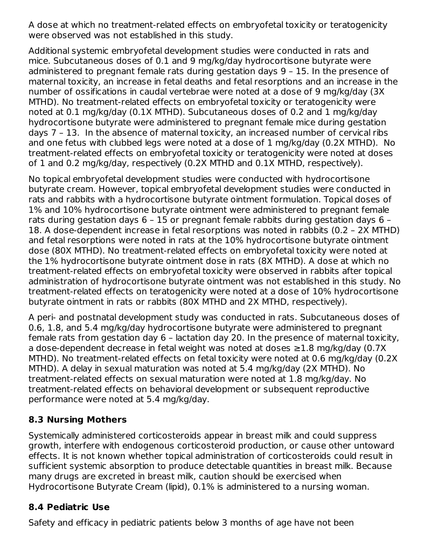A dose at which no treatment-related effects on embryofetal toxicity or teratogenicity were observed was not established in this study.

Additional systemic embryofetal development studies were conducted in rats and mice. Subcutaneous doses of 0.1 and 9 mg/kg/day hydrocortisone butyrate were administered to pregnant female rats during gestation days 9 – 15. In the presence of maternal toxicity, an increase in fetal deaths and fetal resorptions and an increase in the number of ossifications in caudal vertebrae were noted at a dose of 9 mg/kg/day (3X MTHD). No treatment-related effects on embryofetal toxicity or teratogenicity were noted at 0.1 mg/kg/day (0.1X MTHD). Subcutaneous doses of 0.2 and 1 mg/kg/day hydrocortisone butyrate were administered to pregnant female mice during gestation days 7 – 13. In the absence of maternal toxicity, an increased number of cervical ribs and one fetus with clubbed legs were noted at a dose of 1 mg/kg/day (0.2X MTHD). No treatment-related effects on embryofetal toxicity or teratogenicity were noted at doses of 1 and 0.2 mg/kg/day, respectively (0.2X MTHD and 0.1X MTHD, respectively).

No topical embryofetal development studies were conducted with hydrocortisone butyrate cream. However, topical embryofetal development studies were conducted in rats and rabbits with a hydrocortisone butyrate ointment formulation. Topical doses of 1% and 10% hydrocortisone butyrate ointment were administered to pregnant female rats during gestation days 6 – 15 or pregnant female rabbits during gestation days 6 – 18. A dose-dependent increase in fetal resorptions was noted in rabbits (0.2 – 2X MTHD) and fetal resorptions were noted in rats at the 10% hydrocortisone butyrate ointment dose (80X MTHD). No treatment-related effects on embryofetal toxicity were noted at the 1% hydrocortisone butyrate ointment dose in rats (8X MTHD). A dose at which no treatment-related effects on embryofetal toxicity were observed in rabbits after topical administration of hydrocortisone butyrate ointment was not established in this study. No treatment-related effects on teratogenicity were noted at a dose of 10% hydrocortisone butyrate ointment in rats or rabbits (80X MTHD and 2X MTHD, respectively).

A peri- and postnatal development study was conducted in rats. Subcutaneous doses of 0.6, 1.8, and 5.4 mg/kg/day hydrocortisone butyrate were administered to pregnant female rats from gestation day 6 – lactation day 20. In the presence of maternal toxicity, a dose-dependent decrease in fetal weight was noted at doses ≥1.8 mg/kg/day (0.7X MTHD). No treatment-related effects on fetal toxicity were noted at 0.6 mg/kg/day (0.2X MTHD). A delay in sexual maturation was noted at 5.4 mg/kg/day (2X MTHD). No treatment-related effects on sexual maturation were noted at 1.8 mg/kg/day. No treatment-related effects on behavioral development or subsequent reproductive performance were noted at 5.4 mg/kg/day.

# **8.3 Nursing Mothers**

Systemically administered corticosteroids appear in breast milk and could suppress growth, interfere with endogenous corticosteroid production, or cause other untoward effects. It is not known whether topical administration of corticosteroids could result in sufficient systemic absorption to produce detectable quantities in breast milk. Because many drugs are excreted in breast milk, caution should be exercised when Hydrocortisone Butyrate Cream (lipid), 0.1% is administered to a nursing woman.

# **8.4 Pediatric Use**

Safety and efficacy in pediatric patients below 3 months of age have not been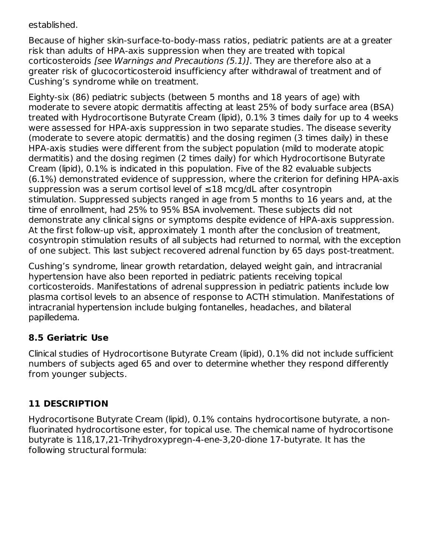established.

Because of higher skin-surface-to-body-mass ratios, pediatric patients are at a greater risk than adults of HPA-axis suppression when they are treated with topical corticosteroids [see Warnings and Precautions (5.1)]. They are therefore also at a greater risk of glucocorticosteroid insufficiency after withdrawal of treatment and of Cushing's syndrome while on treatment.

Eighty-six (86) pediatric subjects (between 5 months and 18 years of age) with moderate to severe atopic dermatitis affecting at least 25% of body surface area (BSA) treated with Hydrocortisone Butyrate Cream (lipid), 0.1% 3 times daily for up to 4 weeks were assessed for HPA-axis suppression in two separate studies. The disease severity (moderate to severe atopic dermatitis) and the dosing regimen (3 times daily) in these HPA-axis studies were different from the subject population (mild to moderate atopic dermatitis) and the dosing regimen (2 times daily) for which Hydrocortisone Butyrate Cream (lipid), 0.1% is indicated in this population. Five of the 82 evaluable subjects (6.1%) demonstrated evidence of suppression, where the criterion for defining HPA-axis suppression was a serum cortisol level of ≤18 mcg/dL after cosyntropin stimulation. Suppressed subjects ranged in age from 5 months to 16 years and, at the time of enrollment, had 25% to 95% BSA involvement. These subjects did not demonstrate any clinical signs or symptoms despite evidence of HPA-axis suppression. At the first follow-up visit, approximately 1 month after the conclusion of treatment, cosyntropin stimulation results of all subjects had returned to normal, with the exception of one subject. This last subject recovered adrenal function by 65 days post-treatment.

Cushing's syndrome, linear growth retardation, delayed weight gain, and intracranial hypertension have also been reported in pediatric patients receiving topical corticosteroids. Manifestations of adrenal suppression in pediatric patients include low plasma cortisol levels to an absence of response to ACTH stimulation. Manifestations of intracranial hypertension include bulging fontanelles, headaches, and bilateral papilledema.

# **8.5 Geriatric Use**

Clinical studies of Hydrocortisone Butyrate Cream (lipid), 0.1% did not include sufficient numbers of subjects aged 65 and over to determine whether they respond differently from younger subjects.

# **11 DESCRIPTION**

Hydrocortisone Butyrate Cream (lipid), 0.1% contains hydrocortisone butyrate, a nonfluorinated hydrocortisone ester, for topical use. The chemical name of hydrocortisone butyrate is 11ß,17,21-Trihydroxypregn-4-ene-3,20-dione 17-butyrate. It has the following structural formula: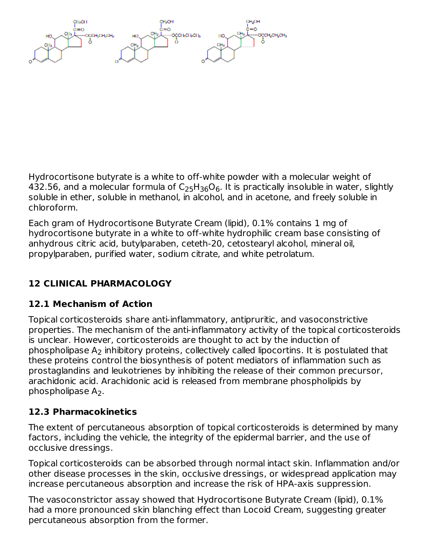Hydrocortisone butyrate is a white to off-white powder with a molecular weight of 432.56, and a molecular formula of  $\mathsf{C}_2$ 5H $_{36}\mathsf{O}_6$ . It is practically insoluble in water, slightly soluble in ether, soluble in methanol, in alcohol, and in acetone, and freely soluble in chloroform.

Each gram of Hydrocortisone Butyrate Cream (lipid), 0.1% contains 1 mg of hydrocortisone butyrate in a white to off-white hydrophilic cream base consisting of anhydrous citric acid, butylparaben, ceteth-20, cetostearyl alcohol, mineral oil, propylparaben, purified water, sodium citrate, and white petrolatum.

# **12 CLINICAL PHARMACOLOGY**

# **12.1 Mechanism of Action**

Topical corticosteroids share anti-inflammatory, antipruritic, and vasoconstrictive properties. The mechanism of the anti-inflammatory activity of the topical corticosteroids is unclear. However, corticosteroids are thought to act by the induction of phospholipase  $\mathsf{A}_2$  inhibitory proteins, collectively called lipocortins. It is postulated that these proteins control the biosynthesis of potent mediators of inflammation such as prostaglandins and leukotrienes by inhibiting the release of their common precursor, arachidonic acid. Arachidonic acid is released from membrane phospholipids by phospholipase  $A_2$ .

# **12.3 Pharmacokinetics**

The extent of percutaneous absorption of topical corticosteroids is determined by many factors, including the vehicle, the integrity of the epidermal barrier, and the use of occlusive dressings.

Topical corticosteroids can be absorbed through normal intact skin. Inflammation and/or other disease processes in the skin, occlusive dressings, or widespread application may increase percutaneous absorption and increase the risk of HPA-axis suppression.

The vasoconstrictor assay showed that Hydrocortisone Butyrate Cream (lipid), 0.1% had a more pronounced skin blanching effect than Locoid Cream, suggesting greater percutaneous absorption from the former.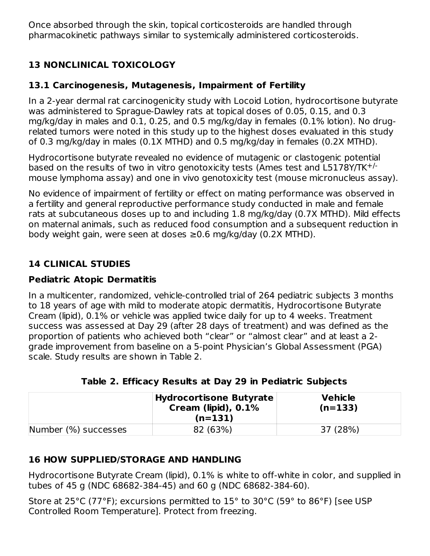Once absorbed through the skin, topical corticosteroids are handled through pharmacokinetic pathways similar to systemically administered corticosteroids.

# **13 NONCLINICAL TOXICOLOGY**

# **13.1 Carcinogenesis, Mutagenesis, Impairment of Fertility**

In a 2-year dermal rat carcinogenicity study with Locoid Lotion, hydrocortisone butyrate was administered to Sprague-Dawley rats at topical doses of 0.05, 0.15, and 0.3 mg/kg/day in males and 0.1, 0.25, and 0.5 mg/kg/day in females (0.1% lotion). No drugrelated tumors were noted in this study up to the highest doses evaluated in this study of 0.3 mg/kg/day in males (0.1X MTHD) and 0.5 mg/kg/day in females (0.2X MTHD).

Hydrocortisone butyrate revealed no evidence of mutagenic or clastogenic potential based on the results of two in vitro genotoxicity tests (Ames test and L5178Y/TK<sup>+/-</sup> mouse lymphoma assay) and one in vivo genotoxicity test (mouse micronucleus assay).

No evidence of impairment of fertility or effect on mating performance was observed in a fertility and general reproductive performance study conducted in male and female rats at subcutaneous doses up to and including 1.8 mg/kg/day (0.7X MTHD). Mild effects on maternal animals, such as reduced food consumption and a subsequent reduction in body weight gain, were seen at doses ≥0.6 mg/kg/day (0.2X MTHD).

# **14 CLINICAL STUDIES**

# **Pediatric Atopic Dermatitis**

In a multicenter, randomized, vehicle-controlled trial of 264 pediatric subjects 3 months to 18 years of age with mild to moderate atopic dermatitis, Hydrocortisone Butyrate Cream (lipid), 0.1% or vehicle was applied twice daily for up to 4 weeks. Treatment success was assessed at Day 29 (after 28 days of treatment) and was defined as the proportion of patients who achieved both "clear" or "almost clear" and at least a 2 grade improvement from baseline on a 5-point Physician's Global Assessment (PGA) scale. Study results are shown in Table 2.

|                      | <b>Hydrocortisone Butyrate</b><br>Cream (lipid), $0.1\%$<br>$(n=131)$ | <b>Vehicle</b><br>$(n=133)$ |
|----------------------|-----------------------------------------------------------------------|-----------------------------|
| Number (%) successes | 82 (63%)                                                              | 37 (28%)                    |

**Table 2. Efficacy Results at Day 29 in Pediatric Subjects**

# **16 HOW SUPPLIED/STORAGE AND HANDLING**

Hydrocortisone Butyrate Cream (lipid), 0.1% is white to off-white in color, and supplied in tubes of 45 g (NDC 68682-384-45) and 60 g (NDC 68682-384-60).

Store at 25°C (77°F); excursions permitted to 15° to 30°C (59° to 86°F) [see USP Controlled Room Temperature]. Protect from freezing.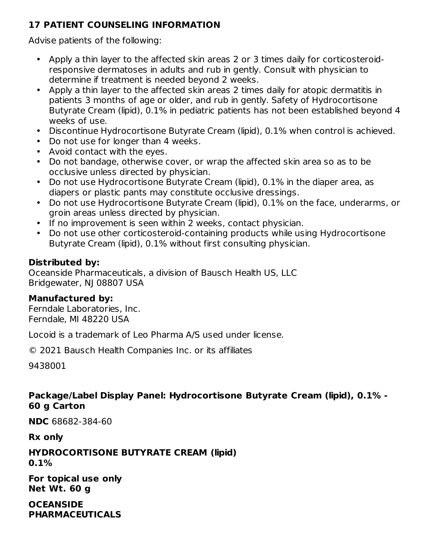# **17 PATIENT COUNSELING INFORMATION**

Advise patients of the following:

- Apply a thin layer to the affected skin areas 2 or 3 times daily for corticosteroidresponsive dermatoses in adults and rub in gently. Consult with physician to determine if treatment is needed beyond 2 weeks.
- Apply a thin layer to the affected skin areas 2 times daily for atopic dermatitis in patients 3 months of age or older, and rub in gently. Safety of Hydrocortisone Butyrate Cream (lipid), 0.1% in pediatric patients has not been established beyond 4 weeks of use.
- Discontinue Hydrocortisone Butyrate Cream (lipid), 0.1% when control is achieved.
- Do not use for longer than 4 weeks.
- Avoid contact with the eyes.
- Do not bandage, otherwise cover, or wrap the affected skin area so as to be occlusive unless directed by physician.
- Do not use Hydrocortisone Butyrate Cream (lipid), 0.1% in the diaper area, as diapers or plastic pants may constitute occlusive dressings.
- Do not use Hydrocortisone Butyrate Cream (lipid), 0.1% on the face, underarms, or groin areas unless directed by physician.
- If no improvement is seen within 2 weeks, contact physician.
- Do not use other corticosteroid-containing products while using Hydrocortisone Butyrate Cream (lipid), 0.1% without first consulting physician.

# **Distributed by:**

Oceanside Pharmaceuticals, a division of Bausch Health US, LLC Bridgewater, NJ 08807 USA

#### **Manufactured by:**

Ferndale Laboratories, Inc. Ferndale, MI 48220 USA

Locoid is a trademark of Leo Pharma A/S used under license.

© 2021 Bausch Health Companies Inc. or its affiliates

9438001

# **Package/Label Display Panel: Hydrocortisone Butyrate Cream (lipid), 0.1% - 60 g Carton**

**NDC** 68682-384-60

**Rx only**

**HYDROCORTISONE BUTYRATE CREAM (lipid) 0.1%**

**For topical use only Net Wt. 60 g**

**OCEANSIDE PHARMACEUTICALS**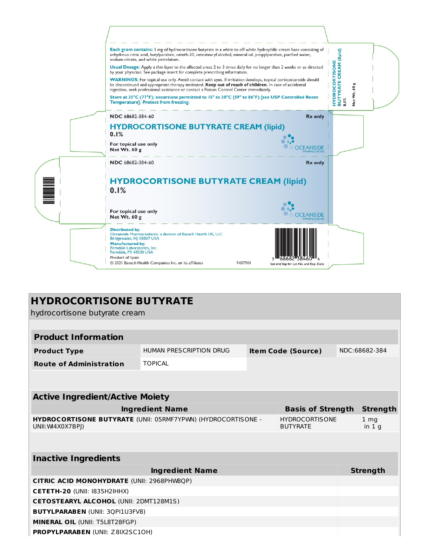

| <b>HYDROCORTISONE BUTYRATE</b><br>hydrocortisone butyrate cream                                     |                         |  |                           |               |                            |  |
|-----------------------------------------------------------------------------------------------------|-------------------------|--|---------------------------|---------------|----------------------------|--|
|                                                                                                     |                         |  |                           |               |                            |  |
| <b>Product Information</b>                                                                          |                         |  |                           |               |                            |  |
| <b>Product Type</b>                                                                                 | HUMAN PRESCRIPTION DRUG |  | <b>Item Code (Source)</b> | NDC:68682-384 |                            |  |
| <b>Route of Administration</b>                                                                      | <b>TOPICAL</b>          |  |                           |               |                            |  |
|                                                                                                     |                         |  |                           |               |                            |  |
| <b>Active Ingredient/Active Moiety</b>                                                              |                         |  |                           |               |                            |  |
| <b>Ingredient Name</b><br><b>Basis of Strength</b>                                                  |                         |  |                           |               | <b>Strength</b>            |  |
| HYDROCORTISONE BUTYRATE (UNII: 05RMF7YPWN) (HYDROCORTISONE -<br>UNII: W4X0X7BPI)<br><b>BUTYRATE</b> |                         |  | <b>HYDROCORTISONE</b>     |               | 1 <sub>mg</sub><br>in $1q$ |  |
|                                                                                                     |                         |  |                           |               |                            |  |
| <b>Inactive Ingredients</b>                                                                         |                         |  |                           |               |                            |  |
| <b>Ingredient Name</b>                                                                              |                         |  |                           |               | <b>Strength</b>            |  |
| <b>CITRIC ACID MONOHYDRATE (UNII: 2968PHW8QP)</b>                                                   |                         |  |                           |               |                            |  |
| CETETH-20 (UNII: I835H2IHHX)                                                                        |                         |  |                           |               |                            |  |
| <b>CETOSTEARYL ALCOHOL (UNII: 2DMT128M1S)</b>                                                       |                         |  |                           |               |                            |  |
| <b>BUTYLPARABEN (UNII: 3QPI1U3FV8)</b>                                                              |                         |  |                           |               |                            |  |
| MINERAL OIL (UNII: T5L8T28FGP)                                                                      |                         |  |                           |               |                            |  |
| <b>PROPYLPARABEN (UNII: Z8IX2SC10H)</b>                                                             |                         |  |                           |               |                            |  |